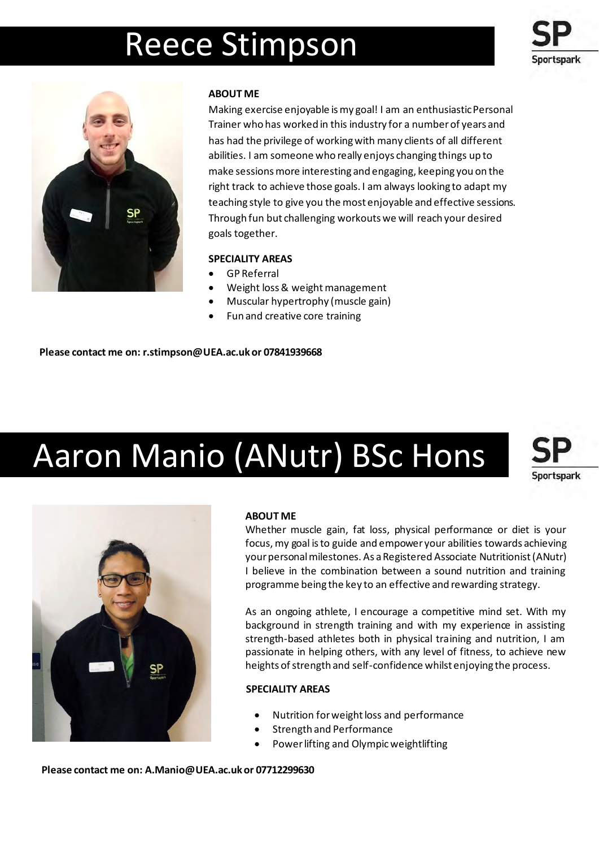# Reece Stimpson





# **ABOUT ME**

Making exercise enjoyable is my goal! I am an enthusiastic Personal Trainer who has worked in this industry for a number of years and has had the privilege of working with many clients of all different abilities. I am someone who really enjoys changing things up to make sessions more interesting and engaging, keeping you on the right track to achieve those goals. I am always looking to adapt my teaching style to give you the most enjoyable and effective sessions. Through fun but challenging workouts we will reach your desired goals together.

# **SPECIALITY AREAS**

- GP Referral
- Weight loss & weight management
- Muscular hypertrophy (muscle gain)
- Fun and creative core training

**Please contact me on: r.stimpson@UEA.ac.uk or 07841939668** 

# Aaron Manio (ANutr) BSc Hons

**Sportspark** 



# **ABOUT ME**

Whether muscle gain, fat loss, physical performance or diet is your focus,my goal isto guide and empower your abilities towards achieving your personal milestones. As a Registered Associate Nutritionist (ANutr) I believe in the combination between a sound nutrition and training programme being the key to an effective and rewarding strategy.

As an ongoing athlete, I encourage a competitive mind set. With my background in strength training and with my experience in assisting strength-based athletes both in physical training and nutrition, I am passionate in helping others, with any level of fitness, to achieve new heights of strength and self-confidence whilst enjoying the process.

# **SPECIALITY AREAS**

- Nutrition for weight loss and performance
- Strength and Performance
- Power lifting and Olympic weightlifting

**Please contact me on: [A.Manio@UEA.ac.uk o](mailto:A.Manio@UEA.ac.uk)r 07712299630**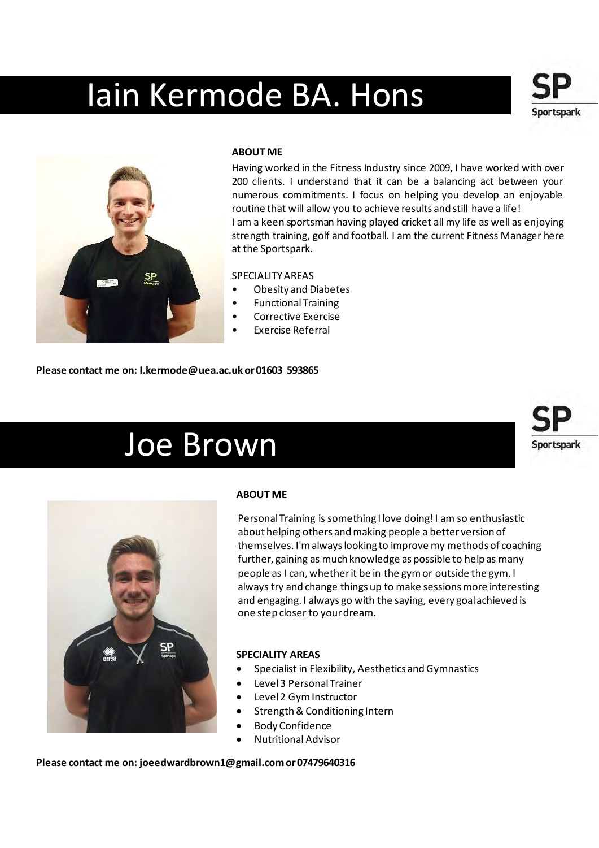# Iain Kermode BA. Hons



### **ABOUT ME**

Having worked in the Fitness Industry since 2009, I have worked with over 200 clients. I understand that it can be a balancing act between your numerous commitments. I focus on helping you develop an enjoyable routine that will allow you to achieve results and still have a life! I am a keen sportsman having played cricket all my life as well as enjoying strength training, golf and football. I am the current Fitness Manager here at the Sportspark.

Sportspark

Sportspark

### SPECIALITY AREAS

- Obesity and Diabetes
- Functional Training
- Corrective Exercise
- Exercise Referral

**Please contact me on: [I.kermode@uea.ac.uk o](mailto:I.kermode@uea.ac.uk)r 01603 593865** 

# Joe Brown



# **ABOUT ME**

Personal Training is something I love doing! I am so enthusiastic about helping others and making people a better version of themselves. I'm always looking to improve my methods of coaching further, gaining as much knowledge as possible to help as many people as I can, whether it be in the gym or outside the gym. I always try and change things up to make sessions more interesting and engaging. I always go with the saying, every goal achieved is one step closer to your dream.

#### **SPECIALITY AREAS**

- Specialist in Flexibility, Aesthetics and Gymnastics
- Level 3 Personal Trainer
- Level 2 Gym Instructor
- Strength & Conditioning Intern
- Body Confidence
- Nutritional Advisor

**Please contact me on: joeedwardbrown1@gmail.com or 07479640316**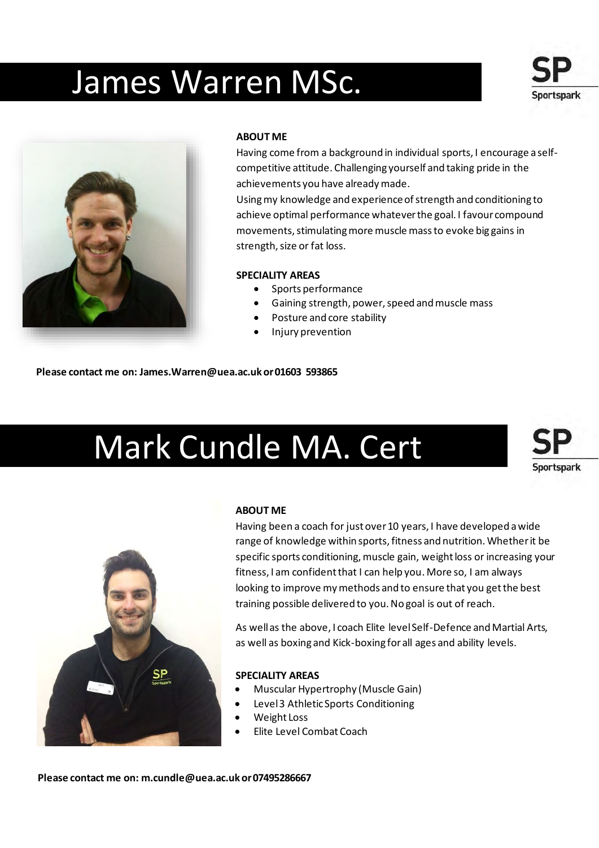# James Warren MSc.





### **ABOUT ME**

Having come from a background in individual sports, I encourage a selfcompetitive attitude. Challenging yourself and taking pride in the achievements you have already made.

Using my knowledge and experience of strength and conditioning to achieve optimal performance whatever the goal. I favour compound movements, stimulating more muscle mass to evoke big gains in strength, size or fat loss.

#### **SPECIALITY AREAS**

- Sports performance
- Gaining strength, power, speed and muscle mass
- Posture and core stability
- Injury prevention

**Please contact me on: [James.Warren@uea.ac.uk o](mailto:James.Warren@uea.ac.uk)r 01603 593865**

# Mark Cundle MA. Cert





# **ABOUT ME**

Having been a coach for just over 10 years, I have developed a wide range of knowledge within sports, fitness and nutrition. Whether it be specific sports conditioning, muscle gain, weight loss or increasing your fitness, I am confident that I can help you. More so, I am always looking to improve my methods and to ensure that you get the best training possible delivered to you. No goal is out of reach.

As well as the above, I coach Elite level Self-Defence and Martial Arts, as well as boxing and Kick-boxing for all ages and ability levels.

#### **SPECIALITY AREAS**

- Muscular Hypertrophy (Muscle Gain)
- Level 3 Athletic Sports Conditioning
- Weight Loss
- Elite Level Combat Coach

**Please contact me on[: m.cundle@uea.ac.uk o](mailto:m.cundle@uea.ac.uk)r 07495286667**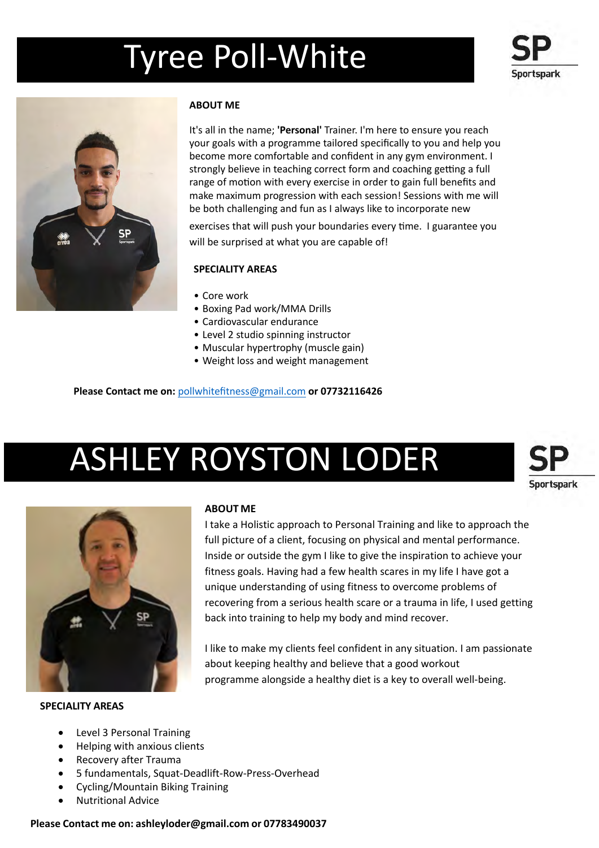# Tyree Poll-White





# **ABOUT ME**

It's all in the name; **'Personal'** Trainer. I'm here to ensure you reach your goals with a programme tailored specifically to you and help you become more comfortable and confident in any gym environment. I strongly believe in teaching correct form and coaching getting a full range of motion with every exercise in order to gain full benefits and make maximum progression with each session! Sessions with me will be both challenging and fun as I always like to incorporate new

exercises that will push your boundaries every time. I guarantee you will be surprised at what you are capable of!

# **SPECIALITY AREAS**

- Core work
- Boxing Pad work/MMA Drills
- Cardiovascular endurance
- Level 2 studio spinning instructor
- Muscular hypertrophy (muscle gain)
- [Weight loss and](mailto:r.stimpson@UEA.ac.uk) weight management

**Please Contact me on:** pollwhitefitness@gmail.com **or 07732116426**

# ASHLEY ROYSTON LODER





#### **SPECIALITY AREAS**

# **ABOUT ME**

I take a Holistic approach to Personal Training and like to approach the full picture of a client, focusing on physical and mental performance. Inside or outside the gym I like to give the inspiration to achieve your fitness goals. Having had a few health scares in my life I have got a unique understanding of using fitness to overcome problems of recovering from a serious health scare or a trauma in life, I used getting back into training to help my body and mind recover.

I like to make my clients feel confident in any situation. I am passionate about keeping healthy and believe that a good workout programme alongside a healthy diet is a key to overall well-being.

- Level 3 Personal Training
- Helping with anxious clients
- Recovery after Trauma
- 5 fundamentals, Squat-Deadlift-Row-Press-Overhead
- Cycling/Mountain Biking Training
- Nutritional Advice

#### **Please Contact me on: ashleyloder@gmail.com or 07783490037**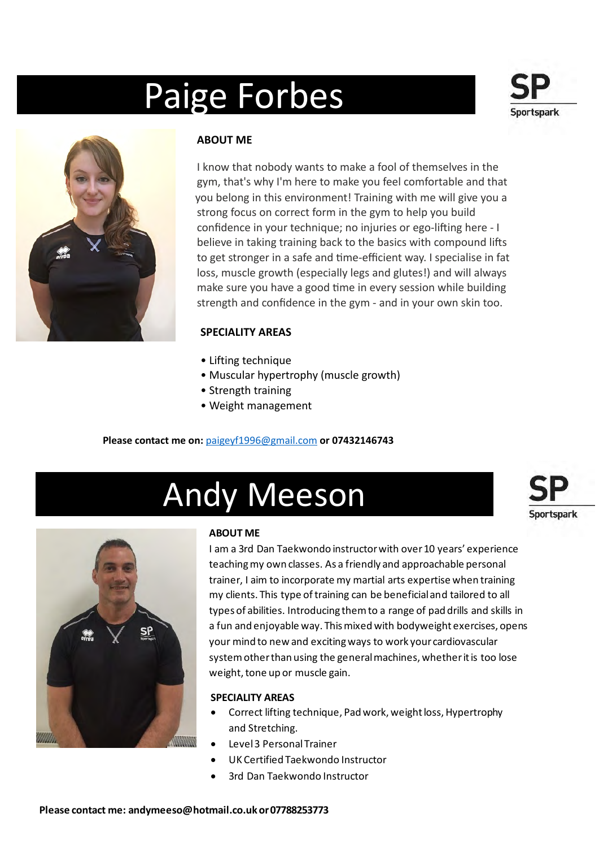# Paige Forbes





# **ABOUT ME**

I know that nobody wants to make a fool of themselves in the gym, that's why I'm here to make you feel comfortable and that strong focus on correct form in the gym to help you build confidence in your technique; no injuries or ego-lifting here - I believe in taking training back to the basics with compound lifts to get stronger in a safe and time-efficient way. I specialise in fat loss, muscle growth (especially legs and glutes!) and will always make sure you have a good time in every session while building strength and confidence in the gym - and in your own skin too. you belong in this environment! Training with me will give you a

# **SPECIALITY AREAS**

- Lifting technique
- Muscular hypertrophy (muscle growth)
- Strength training
- [Weight man](mailto:c.macfarlane@uea.ac.uk)agement

# **Please contact me on:** paigeyf1996@gmail.com **or 07432146743**

# Andy Meeson





# **ABOUT ME**

I am a 3rd Dan Taekwondo instructor with over 10 years' experience teaching my own classes. As a friendly and approachable personal trainer, I aim to incorporate my martial arts expertise when training my clients. This type of training can be beneficial and tailored to all types of abilities. Introducing them to a range of pad drills and skills in a fun and enjoyable way. This mixed with bodyweight exercises, opens your mind to new and exciting ways to work your cardiovascular system other than using the general machines, whether it is too lose weight, tone up or muscle gain.

# **SPECIALITY AREAS**

- Correct lifting technique, Pad work, weight loss, Hypertrophy and Stretching.
- Level 3 Personal Trainer
- UK Certified Taekwondo Instructor
- [3rd Dan](mailto:andymeeso@hotmail.co.uk) Taekwondo Instructor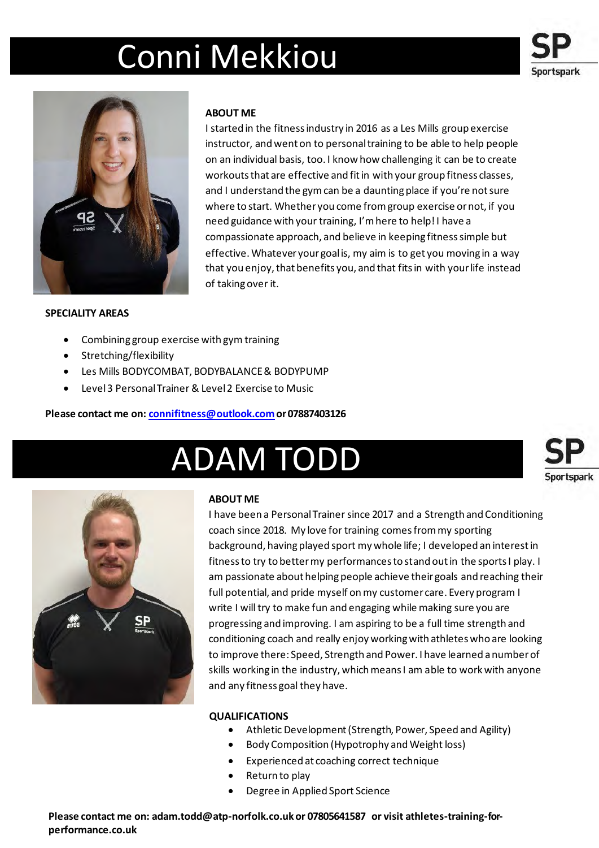# Conni Mekkiou

**ABOUT ME** 

of taking over it.





### **SPECIALITY AREAS**

# • Combining group exercise with gym training

- Stretching/flexibility
- Les Mills BODYCOMBAT, BODYBALANCE & BODYPUMP
- Level 3 Personal Trainer & Level 2 Exercise to Music

### **Please contact me on: connifitness@outlook.com or 07887403126**

# ADAM TODD





# **ABOUT ME**

I have been a Personal Trainer since 2017 and a Strength and Conditioning [coach since 201](mailto:connifitness@outlook.com)8. My love for training comes from my sporting background, having played sport my whole life; I developed an interest in fitness to try to better my performances to stand out in the sports I play. I am passionate about helping people achieve their goals and reaching their full potential, and pride myself on my customer care. Every program I write I will try to make fun and engaging while making sure you are progressing and improving. I am aspiring to be a full time strength and conditioning coach and really enjoy working with athletes who are looking to improve there: Speed, Strength and Power. I have learned a number of skills working in the industry, which means I am able to work with anyone and any fitness goal they have.

I started in the fitness industry in 2016 as a Les Mills group exercise instructor, and went on to personal training to be able to help people on an individual basis, too. I know how challenging it can be to create workouts that are effective and fit in with your group fitness classes, and I understand the gym can be a daunting place if you're not sure where to start. Whether you come from group exercise or not, if you

compassionate approach, and believe in keeping fitness simple but effective. Whatever your goal is, my aim is to get you moving in a way that you enjoy, that benefits you, and that fits in with your life instead

need guidance with your training, I'm here to help! I have a

# **QUALIFICATIONS**

- Athletic Development (Strength, Power, Speed and Agility)
- Body Composition (Hypotrophy and Weight loss)
- Experienced at coaching correct technique
- Return to play
- Degree in Applied Sport Science

**Please contact me on: adam.todd@atp-norfolk.co.uk or 07805641587 or visit athletes-training-forperformance.co.uk**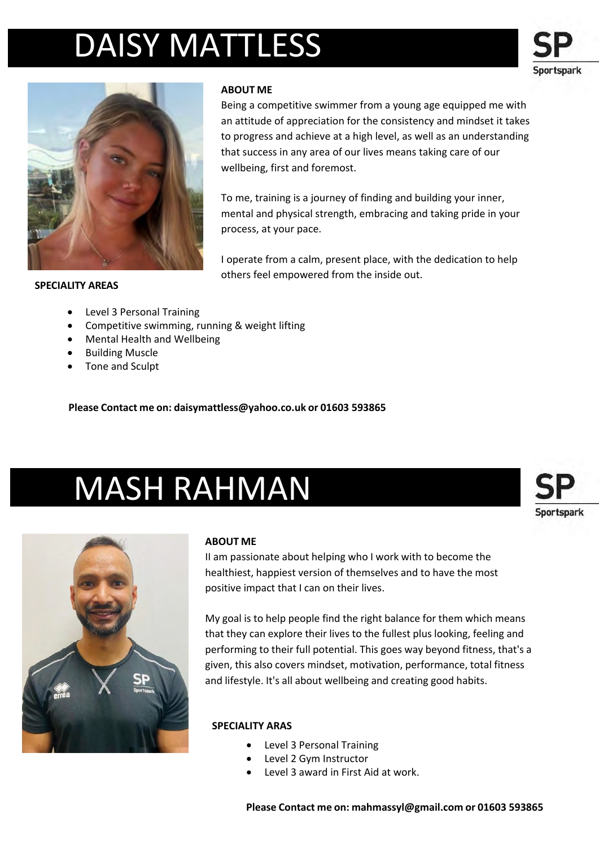# DAISY MATTLESS





# **ABOUT ME**

Being a competitive swimmer from a young age equipped me with an attitude of appreciation for the consistency and mindset it takes to progress and achieve at a high level, as well as an understanding that success in any area of our lives means taking care of our wellbeing, first and foremost.

To me, training is a journey of finding and building your inner, mental and physical strength, embracing and taking pride in your process, at your pace.

I operate from a calm, present place, with the dedication to help others feel empowered from the inside out.

#### **SPECIALITY AREAS**

- Level 3 Personal Training
- Competitive swimming, running & weight lifting
- Mental Health and Wellbeing
- Building Muscle
- Tone and Sculpt

**Please Contact me on: daisymattless@yahoo.co.uk or 01603 593865**

# MASH RAHMAN



# **ABOUT ME**

II am passionate about helping who I work with to become the healthiest, happiest version of themselves and to have the most positive impact that I can on their lives.

My goal is to help people find the right balance for them which means that they can explore their lives to the fullest plus looking, feeling and performing to their full potential. This goes way beyond fitness, that's a given, this also covers mindset, motivation, performance, total fitness and lifestyle. It's all about wellbeing and creating good habits.

# **SPECIALITY ARAS**

- Level 3 Personal Training
- Level 2 Gym Instructor
- Level 3 award in First Aid at work.